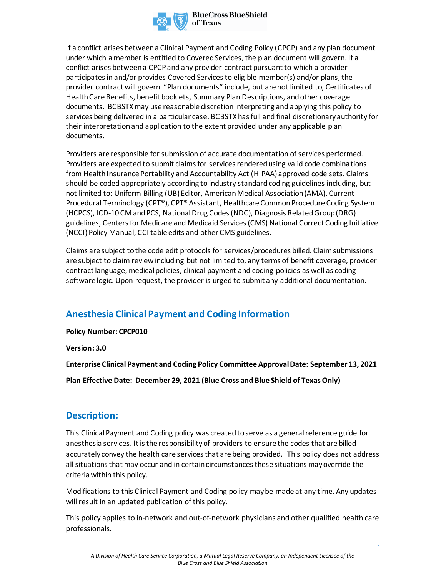

If a conflict arises between a Clinical Payment and Coding Policy (CPCP) and any plan document under which a member is entitled to Covered Services, the plan document will govern. If a conflict arises between a CPCP and any provider contract pursuant to which a provider participates in and/or provides Covered Services to eligible member(s) and/or plans, the provider contract will govern. "Plan documents" include, but are not limited to, Certificates of Health Care Benefits, benefit booklets, Summary Plan Descriptions, and other coverage documents. BCBSTXmay use reasonable discretion interpreting and applying this policy to services being delivered in a particular case. BCBSTXhas full and final discretionary authority for their interpretation and application to the extent provided under any applicable plan documents.

Providers are responsible for submission of accurate documentation of services performed. Providers are expected to submit claims for services rendered using valid code combinations from Health Insurance Portability and Accountability Act (HIPAA) approved code sets. Claims should be coded appropriately according to industry standard coding guidelines including, but not limited to: Uniform Billing (UB) Editor, American Medical Association (AMA), Current Procedural Terminology (CPT®), CPT® Assistant, Healthcare Common Procedure Coding System (HCPCS), ICD-10 CM and PCS, National Drug Codes (NDC), Diagnosis Related Group (DRG) guidelines, Centers for Medicare and Medicaid Services (CMS) National Correct Coding Initiative (NCCI) Policy Manual, CCI table edits and other CMS guidelines.

Claims are subject to the code edit protocols for services/procedures billed. Claim submissions are subject to claim review including but not limited to, any terms of benefit coverage, provider contract language, medical policies, clinical payment and coding policies as well as coding software logic. Upon request, the provider is urged to submit any additional documentation.

# **Anesthesia Clinical Payment and Coding Information**

**Policy Number: CPCP010** 

**Version: 3.0** 

**Enterprise Clinical Payment and Coding Policy Committee Approval Date: September 13, 2021** 

**Plan Effective Date: December 29, 2021 (Blue Cross and Blue Shield of Texas Only)** 

## **Description:**

This Clinical Payment and Coding policy was created to serve as a general reference guide for anesthesia services. It is the responsibility of providers to ensure the codes that are billed accurately convey the health care services that are being provided. This policy does not address all situations that may occur and in certain circumstances these situations may override the criteria within this policy.

Modifications to this Clinical Payment and Coding policy may be made at any time. Any updates will result in an updated publication of this policy.

This policy applies to in-network and out-of-network physicians and other qualified health care professionals.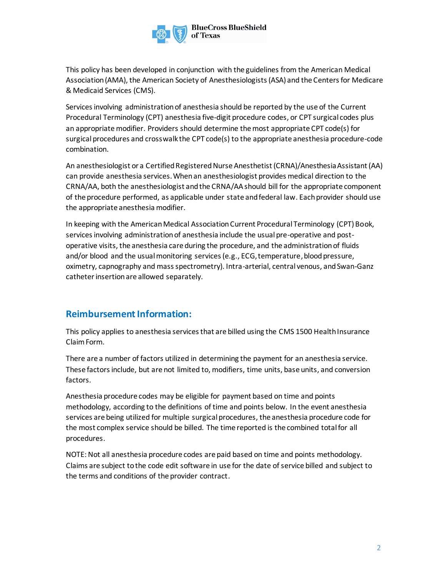

This policy has been developed in conjunction with the guidelines from the American Medical Association (AMA), the American Society of Anesthesiologists (ASA) and the Centers for Medicare & Medicaid Services (CMS).

Services involving administration of anesthesia should be reported by the use of the Current Procedural Terminology (CPT) anesthesia five-digit procedure codes, or CPT surgical codes plus an appropriate modifier. Providers should determine the most appropriate CPT code(s) for surgical procedures and crosswalk the CPT code(s) to the appropriate anesthesia procedure-code combination.

An anesthesiologist or a Certified Registered Nurse Anesthetist (CRNA)/Anesthesia Assistant (AA) can provide anesthesia services. When an anesthesiologist provides medical direction to the CRNA/AA, both the anesthesiologist and the CRNA/AAshould bill for the appropriate component of the procedure performed, as applicable under state and federal law. Each provider should use the appropriate anesthesia modifier.

In keeping with the American Medical Association Current Procedural Terminology (CPT) Book, services involving administration of anesthesia include the usual pre-operative and postoperative visits, the anesthesia care during the procedure, and the administration of fluids and/or blood and the usual monitoring services (e.g., ECG, temperature, blood pressure, oximetry, capnography and mass spectrometry). Intra-arterial, central venous, and Swan-Ganz catheter insertion are allowed separately.

# **Reimbursement Information:**

This policy applies to anesthesia services that are billed using the CMS 1500 Health Insurance Claim Form.

There are a number of factors utilized in determining the payment for an anesthesia service. These factors include, but are not limited to, modifiers, time units, base units, and conversion factors.

Anesthesia procedure codes may be eligible for payment based on time and points methodology, according to the definitions of time and points below. In the event anesthesia services are being utilized for multiple surgical procedures, the anesthesia procedure code for the most complex service should be billed. The time reported is the combined total for all procedures.

NOTE: Not all anesthesia procedure codes are paid based on time and points methodology. Claims are subject to the code edit software in use for the date of service billed and subject to the terms and conditions of the provider contract.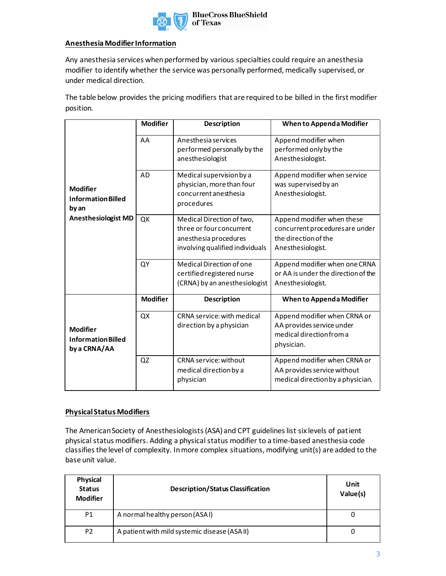

#### **Anesthesia Modifier Information**

Any anesthesia services when performed by various specialties could require an anesthesia modifier to identify whether the service was personally performed, medically supervised, or under medical direction.

The table below provides the pricing modifiers that are required to be billed in the first modifier position.

|                                                             | <b>Modifier</b> | <b>Description</b>                                                                                                | When to Appenda Modifier                                                                                   |
|-------------------------------------------------------------|-----------------|-------------------------------------------------------------------------------------------------------------------|------------------------------------------------------------------------------------------------------------|
|                                                             | AA              | Anesthesia services<br>performed personally by the<br>anesthesiologist                                            | Append modifier when<br>performed only by the<br>Anesthesiologist.                                         |
| <b>Modifier</b><br><b>InformationBilled</b><br>by an        | <b>AD</b>       | Medical supervision by a<br>physician, more than four<br>concurrent anesthesia<br>procedures                      | Append modifier when service<br>was supervised by an<br>Anesthesiologist.                                  |
| <b>Anesthesiologist MD</b>                                  | QK              | Medical Direction of two,<br>three or four concurrent<br>anesthesia procedures<br>involving qualified individuals | Append modifier when these<br>concurrent procedures are under<br>the direction of the<br>Anesthesiologist. |
|                                                             | QY              | Medical Direction of one<br>certified registered nurse<br>(CRNA) by an anesthesiologist                           | Append modifier when one CRNA<br>or AA is under the direction of the<br>Anesthesiologist.                  |
|                                                             | <b>Modifier</b> | Description                                                                                                       | <b>When to Appenda Modifier</b>                                                                            |
| <b>Modifier</b><br><b>InformationBilled</b><br>by a CRNA/AA | QX              | CRNA service: with medical<br>direction by a physician                                                            | Append modifier when CRNA or<br>AA provides service under<br>medical direction from a<br>physician.        |
|                                                             | QZ              | <b>CRNA</b> service: without<br>medical direction by a<br>physician                                               | Append modifier when CRNA or<br>AA provides service without<br>medical direction by a physician.           |

#### **Physical Status Modifiers**

The American Society of Anesthesiologists (ASA) and CPT guidelines list six levels of patient physical status modifiers. Adding a physical status modifier to a time-based anesthesia code classifies the level of complexity. In more complex situations, modifying unit(s) are added to the base unit value.

| <b>Physical</b><br><b>Status</b><br><b>Modifier</b> | <b>Description/Status Classification</b>     | Unit<br>Value(s) |
|-----------------------------------------------------|----------------------------------------------|------------------|
| P1                                                  | A normal healthy person (ASAI)               | U                |
| P <sub>2</sub>                                      | A patient with mild systemic disease (ASAII) | U                |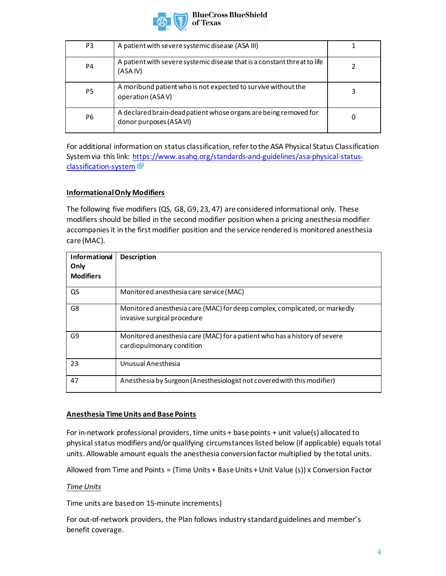

| P3             | A patient with severe systemic disease (ASA III)                                           |  |
|----------------|--------------------------------------------------------------------------------------------|--|
| P4             | A patient with severe systemic disease that is a constant threat to life<br>(ASA IV)       |  |
| P <sub>5</sub> | A moribund patient who is not expected to survive without the<br>operation (ASAV)          |  |
| P <sub>6</sub> | A declared brain-dead patient whose organs are being removed for<br>donor purposes (ASAVI) |  |

[For additional inform](https://www.asahq.org/standards-and-guidelines/asa-physical-status-classification-system)ation [on status classification, refer to the ASA Physical Status Classification](https://www.asahq.org/standards-and-guidelines/asa-physical-status-classification-system)  System via this link: https://www.asahq.org/standards-and-guidelines/asa-physical-statusclassification-system

#### **Informational Only Modifiers**

The following five modifiers (QS, G8, G9, 23, 47) are considered informational only. These modifiers should be billed in the second modifier position when a pricing anesthesia modifier accompanies it in the first modifier position and the service rendered is monitored anesthesia care (MAC).

| <b>Informational</b><br>Only<br><b>Modifiers</b> | <b>Description</b>                                                                                        |
|--------------------------------------------------|-----------------------------------------------------------------------------------------------------------|
| QS                                               | Monitored anesthesia care service (MAC)                                                                   |
| G8                                               | Monitored anesthesia care (MAC) for deep complex, complicated, or markedly<br>invasive surgical procedure |
| G9                                               | Monitored anesthesia care (MAC) for a patient who has a history of severe<br>cardiopulmonary condition    |
| 23                                               | Unusual Anesthesia                                                                                        |
| 47                                               | Anesthesia by Surgeon (Anesthesiologist not covered with this modifier)                                   |

#### **Anesthesia Time Units and Base Points**

For in-network professional providers, time units + base points + unit value(s) allocated to physical status modifiers and/or qualifying circumstances listed below (if applicable) equals total units. Allowable amount equals the anesthesia conversion factor multiplied by the total units.

Allowed from Time and Points = (Time Units + Base Units + Unit Value (s)) x Conversion Factor

#### *Time Units*

Time units are based on 15-minute increments)

For out-of-network providers, the Plan follows industry standard guidelines and member's benefit coverage.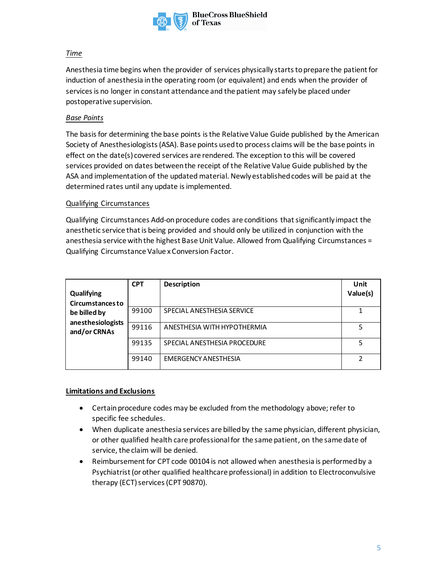

#### *Time*

Anesthesia time begins when the provider of services physically starts to prepare the patient for induction of anesthesia in the operating room (or equivalent) and ends when the provider of services is no longer in constant attendance and the patient may safely be placed under postoperative supervision.

#### *Base Points*

The basis for determining the base points is the Relative Value Guide published by the American Society of Anesthesiologists (ASA). Base points used to process claims will be the base points in effect on the date(s) covered services are rendered. The exception to this will be covered services provided on dates between the receipt of the Relative Value Guide published by the ASA and implementation of the updated material. Newly established codes will be paid at the determined rates until any update is implemented.

#### Qualifying Circumstances

Qualifying Circumstances Add-on procedure codes are conditions that significantly impact the anesthetic service that is being provided and should only be utilized in conjunction with the anesthesia service with the highest Base Unit Value. Allowed from Qualifying Circumstances = Qualifying Circumstance Value x Conversion Factor.

| Qualifying<br><b>Circumstances to</b><br>be billed by<br>anesthesiologists<br>and/or CRNAs | <b>CPT</b> | <b>Description</b>           | Unit<br>Value(s) |
|--------------------------------------------------------------------------------------------|------------|------------------------------|------------------|
|                                                                                            | 99100      | SPECIAL ANESTHESIA SERVICE   | 1                |
|                                                                                            | 99116      | ANESTHESIA WITH HYPOTHERMIA  |                  |
|                                                                                            | 99135      | SPECIAL ANESTHESIA PROCEDURE | 5                |
|                                                                                            | 99140      | <b>EMERGENCY ANESTHESIA</b>  | C.               |

#### **Limitations and Exclusions**

- Certain procedure codes may be excluded from the methodology above; refer to specific fee schedules.
- When duplicate anesthesia services are billed by the same physician, different physician, or other qualified health care professional for the same patient, on the same date of service, the claim will be denied.
- Reimbursement for CPT code 00104 is not allowed when anesthesia is performed by a Psychiatrist (or other qualified healthcare professional) in addition to Electroconvulsive therapy (ECT) services (CPT 90870).